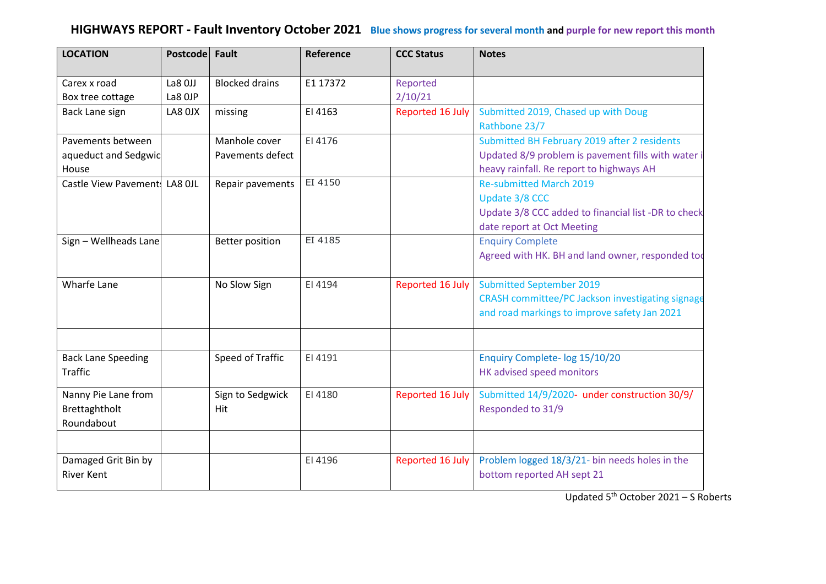# **HIGHWAYS REPORT - Fault Inventory October 2021 Blue shows progress for several month and purple for new report this month**

| <b>LOCATION</b>               | Postcode Fault |                        | Reference | <b>CCC Status</b> | <b>Notes</b>                                         |
|-------------------------------|----------------|------------------------|-----------|-------------------|------------------------------------------------------|
| Carex x road                  | La8 OJJ        | <b>Blocked drains</b>  | E1 17372  | Reported          |                                                      |
| Box tree cottage              | La8 OJP        |                        |           | 2/10/21           |                                                      |
| Back Lane sign                | LA8 OJX        | missing                | EI 4163   | Reported 16 July  | Submitted 2019, Chased up with Doug<br>Rathbone 23/7 |
| Pavements between             |                | Manhole cover          | EI 4176   |                   | Submitted BH February 2019 after 2 residents         |
| aqueduct and Sedgwic          |                | Pavements defect       |           |                   | Updated 8/9 problem is pavement fills with water i   |
| House                         |                |                        |           |                   | heavy rainfall. Re report to highways AH             |
| Castle View Pavement: LA8 OJL |                | Repair pavements       | EI 4150   |                   | <b>Re-submitted March 2019</b>                       |
|                               |                |                        |           |                   | Update 3/8 CCC                                       |
|                               |                |                        |           |                   | Update 3/8 CCC added to financial list -DR to check  |
|                               |                |                        |           |                   | date report at Oct Meeting                           |
| Sign - Wellheads Lane         |                | <b>Better position</b> | EI 4185   |                   | <b>Enquiry Complete</b>                              |
|                               |                |                        |           |                   | Agreed with HK. BH and land owner, responded too     |
| <b>Wharfe Lane</b>            |                | No Slow Sign           | EI 4194   | Reported 16 July  | <b>Submitted September 2019</b>                      |
|                               |                |                        |           |                   | CRASH committee/PC Jackson investigating signage     |
|                               |                |                        |           |                   | and road markings to improve safety Jan 2021         |
|                               |                |                        |           |                   |                                                      |
| <b>Back Lane Speeding</b>     |                | Speed of Traffic       | EI 4191   |                   | Enquiry Complete- log 15/10/20                       |
| <b>Traffic</b>                |                |                        |           |                   | HK advised speed monitors                            |
| Nanny Pie Lane from           |                | Sign to Sedgwick       | EI 4180   | Reported 16 July  | Submitted 14/9/2020- under construction 30/9/        |
| Brettaghtholt                 |                | Hit                    |           |                   | Responded to 31/9                                    |
| Roundabout                    |                |                        |           |                   |                                                      |
| Damaged Grit Bin by           |                |                        | EI 4196   | Reported 16 July  | Problem logged 18/3/21- bin needs holes in the       |
| <b>River Kent</b>             |                |                        |           |                   | bottom reported AH sept 21                           |
|                               |                |                        |           |                   |                                                      |

Updated 5 th October 2021 – S Roberts